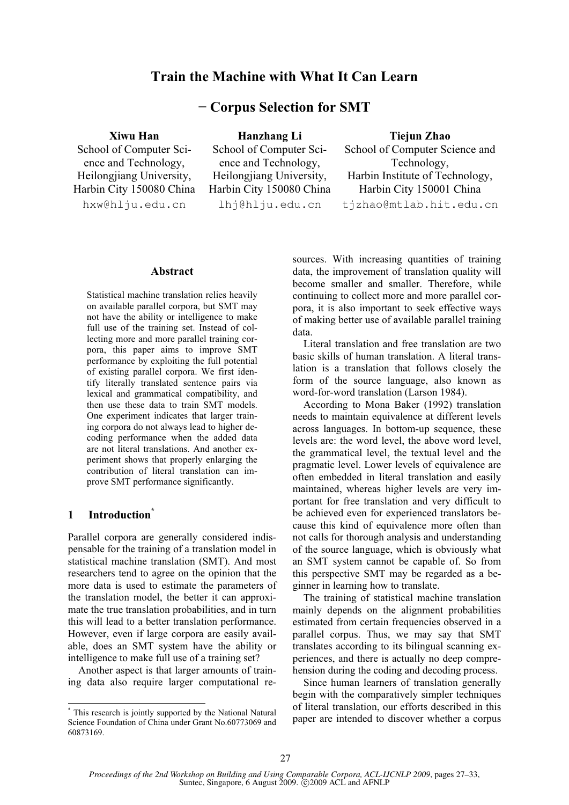# Train the Machine with What It Can Learn

− Corpus Selection for SMT

### Xiwu Han

School of Computer Science and Technology, Heilongjiang University, Harbin City 150080 China hxw@hlju.edu.cn

Hanzhang Li School of Computer Science and Technology, Heilongjiang University, Harbin City 150080 China

lhj@hlju.edu.cn

### Tiejun Zhao

School of Computer Science and Technology, Harbin Institute of Technology, Harbin City 150001 China tjzhao@mtlab.hit.edu.cn

#### Abstract

Statistical machine translation relies heavily on available parallel corpora, but SMT may not have the ability or intelligence to make full use of the training set. Instead of collecting more and more parallel training corpora, this paper aims to improve SMT performance by exploiting the full potential of existing parallel corpora. We first identify literally translated sentence pairs via lexical and grammatical compatibility, and then use these data to train SMT models. One experiment indicates that larger training corpora do not always lead to higher decoding performance when the added data are not literal translations. And another experiment shows that properly enlarging the contribution of literal translation can improve SMT performance significantly.

## 1 Introduction\*

Parallel corpora are generally considered indispensable for the training of a translation model in statistical machine translation (SMT). And most researchers tend to agree on the opinion that the more data is used to estimate the parameters of the translation model, the better it can approximate the true translation probabilities, and in turn this will lead to a better translation performance. However, even if large corpora are easily available, does an SMT system have the ability or intelligence to make full use of a training set?

Another aspect is that larger amounts of training data also require larger computational resources. With increasing quantities of training data, the improvement of translation quality will become smaller and smaller. Therefore, while continuing to collect more and more parallel corpora, it is also important to seek effective ways of making better use of available parallel training data.

Literal translation and free translation are two basic skills of human translation. A literal translation is a translation that follows closely the form of the source language, also known as word-for-word translation (Larson 1984).

According to Mona Baker (1992) translation needs to maintain equivalence at different levels across languages. In bottom-up sequence, these levels are: the word level, the above word level, the grammatical level, the textual level and the pragmatic level. Lower levels of equivalence are often embedded in literal translation and easily maintained, whereas higher levels are very important for free translation and very difficult to be achieved even for experienced translators because this kind of equivalence more often than not calls for thorough analysis and understanding of the source language, which is obviously what an SMT system cannot be capable of. So from this perspective SMT may be regarded as a beginner in learning how to translate.

The training of statistical machine translation mainly depends on the alignment probabilities estimated from certain frequencies observed in a parallel corpus. Thus, we may say that SMT translates according to its bilingual scanning experiences, and there is actually no deep comprehension during the coding and decoding process.

Since human learners of translation generally begin with the comparatively simpler techniques of literal translation, our efforts described in this paper are intended to discover whether a corpus

 \* This research is jointly supported by the National Natural Science Foundation of China under Grant No.60773069 and 60873169.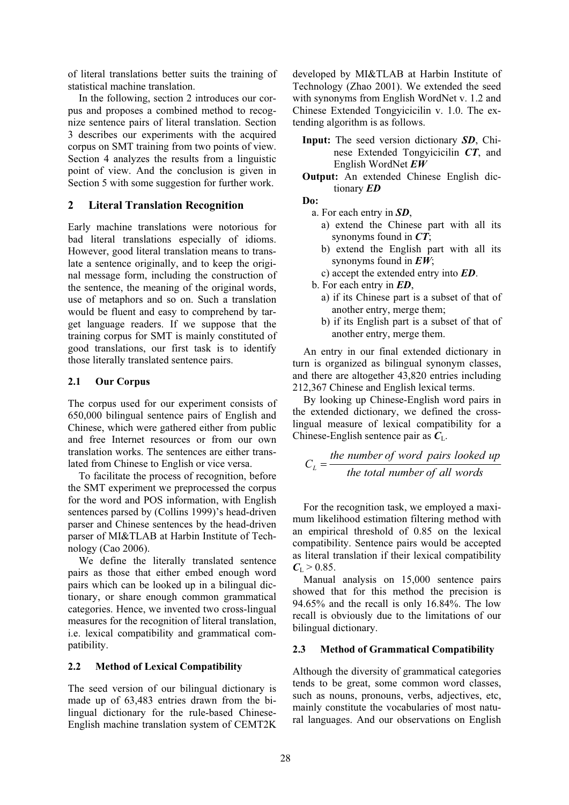of literal translations better suits the training of statistical machine translation.

In the following, section 2 introduces our corpus and proposes a combined method to recognize sentence pairs of literal translation. Section 3 describes our experiments with the acquired corpus on SMT training from two points of view. Section 4 analyzes the results from a linguistic point of view. And the conclusion is given in Section 5 with some suggestion for further work.

## 2 Literal Translation Recognition

Early machine translations were notorious for bad literal translations especially of idioms. However, good literal translation means to translate a sentence originally, and to keep the original message form, including the construction of the sentence, the meaning of the original words, use of metaphors and so on. Such a translation would be fluent and easy to comprehend by target language readers. If we suppose that the training corpus for SMT is mainly constituted of good translations, our first task is to identify those literally translated sentence pairs.

### 2.1 Our Corpus

The corpus used for our experiment consists of 650,000 bilingual sentence pairs of English and Chinese, which were gathered either from public and free Internet resources or from our own translation works. The sentences are either translated from Chinese to English or vice versa.

To facilitate the process of recognition, before the SMT experiment we preprocessed the corpus for the word and POS information, with English sentences parsed by (Collins 1999)'s head-driven parser and Chinese sentences by the head-driven parser of MI&TLAB at Harbin Institute of Technology (Cao 2006).

We define the literally translated sentence pairs as those that either embed enough word pairs which can be looked up in a bilingual dictionary, or share enough common grammatical categories. Hence, we invented two cross-lingual measures for the recognition of literal translation, i.e. lexical compatibility and grammatical compatibility.

## 2.2 Method of Lexical Compatibility

The seed version of our bilingual dictionary is made up of 63,483 entries drawn from the bilingual dictionary for the rule-based Chinese-English machine translation system of CEMT2K developed by MI&TLAB at Harbin Institute of Technology (Zhao 2001). We extended the seed with synonyms from English WordNet v. 1.2 and Chinese Extended Tongyicicilin v. 1.0. The extending algorithm is as follows.

- Input: The seed version dictionary SD, Chinese Extended Tongyicicilin CT, and English WordNet EW
- Output: An extended Chinese English dictionary ED
- D<sub>o</sub>:
	- a. For each entry in SD,
		- a) extend the Chinese part with all its synonyms found in  $CT$ ;
		- b) extend the English part with all its synonyms found in  $EW$ ;
		- c) accept the extended entry into ED.
	- b. For each entry in ED,
		- a) if its Chinese part is a subset of that of another entry, merge them;
		- b) if its English part is a subset of that of another entry, merge them.

An entry in our final extended dictionary in turn is organized as bilingual synonym classes, and there are altogether 43,820 entries including 212,367 Chinese and English lexical terms.

By looking up Chinese-English word pairs in the extended dictionary, we defined the crosslingual measure of lexical compatibility for a Chinese-English sentence pair as  $C_{L}$ .

$$
C_L = \frac{the number of word pairs looked up}{the total number of all words}
$$

For the recognition task, we employed a maximum likelihood estimation filtering method with an empirical threshold of 0.85 on the lexical compatibility. Sentence pairs would be accepted as literal translation if their lexical compatibility  $C_{\rm L} > 0.85$ .

Manual analysis on 15,000 sentence pairs showed that for this method the precision is 94.65% and the recall is only 16.84%. The low recall is obviously due to the limitations of our bilingual dictionary.

### 2.3 Method of Grammatical Compatibility

Although the diversity of grammatical categories tends to be great, some common word classes, such as nouns, pronouns, verbs, adjectives, etc, mainly constitute the vocabularies of most natural languages. And our observations on English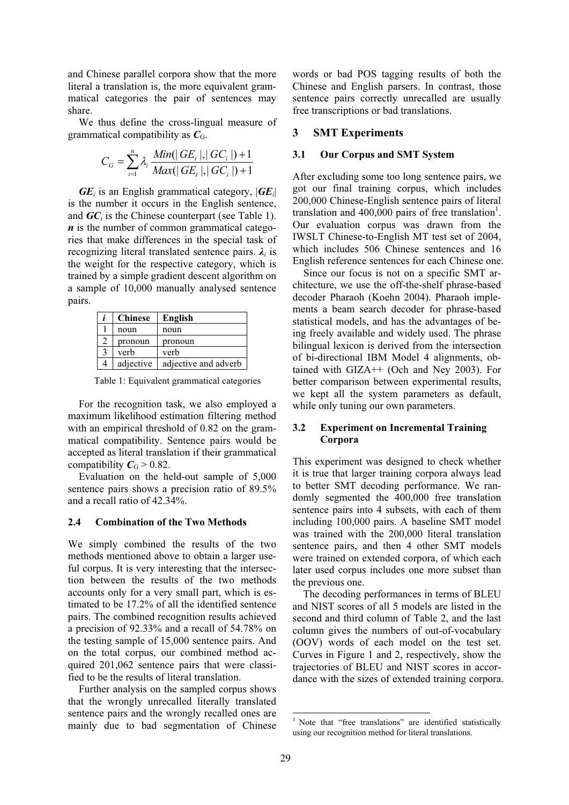and Chinese parallel corpora show that the more literal a translation is, the more equivalent grammatical categories the pair of sentences may share.

We thus define the cross-lingual measure of grammatical compatibility as  $C_{\text{G}}$ .

$$
C_G = \sum_{i=1}^{n} \lambda_i \frac{Min(|GE_i|, |GC_i|) + 1}{Max(|GE_i|, |GC_i|) + 1}
$$

 $GE_i$  is an English grammatical category,  $|GE_i|$ is the number it occurs in the English sentence, and  $GC_i$  is the Chinese counterpart (see Table 1).  $\boldsymbol{n}$  is the number of common grammatical categories that make differences in the special task of recognizing literal translated sentence pairs.  $\lambda_i$  is the weight for the respective category, which is trained by a simple gradient descent algorithm on a sample of 10,000 manually analysed sentence pairs.

| <b>Chinese</b> | English              |
|----------------|----------------------|
| noun           | noun                 |
| pronoun        | pronoun              |
| verb           | verb                 |
| adjective      | adjective and adverb |

Table 1: Equivalent grammatical categories

For the recognition task, we also employed a maximum likelihood estimation filtering method with an empirical threshold of 0.82 on the grammatical compatibility. Sentence pairs would be accepted as literal translation if their grammatical compatibility  $C_{\text{G}} > 0.82$ .

Evaluation on the held-out sample of 5,000 sentence pairs shows a precision ratio of 89.5% and a recall ratio of 42.34%.

#### 2.4 Combination of the Two Methods

We simply combined the results of the two methods mentioned above to obtain a larger useful corpus. It is very interesting that the intersection between the results of the two methods accounts only for a very small part, which is estimated to be 17.2% of all the identified sentence pairs. The combined recognition results achieved a precision of 92.33% and a recall of 54.78% on the testing sample of 15,000 sentence pairs. And on the total corpus, our combined method acquired 201,062 sentence pairs that were classified to be the results of literal translation.

Further analysis on the sampled corpus shows that the wrongly unrecalled literally translated sentence pairs and the wrongly recalled ones are mainly due to bad segmentation of Chinese

words or bad POS tagging results of both the Chinese and English parsers. In contrast, those sentence pairs correctly unrecalled are usually free transcriptions or bad translations.

#### 3 SMT Experiments

### 3.1 Our Corpus and SMT System

After excluding some too long sentence pairs, we got our final training corpus, which includes 200,000 Chinese-English sentence pairs of literal translation and  $400,000$  pairs of free translation<sup>1</sup>. Our evaluation corpus was drawn from the IWSLT Chinese-to-English MT test set of 2004, which includes 506 Chinese sentences and 16 English reference sentences for each Chinese one.

Since our focus is not on a specific SMT architecture, we use the off-the-shelf phrase-based decoder Pharaoh (Koehn 2004). Pharaoh implements a beam search decoder for phrase-based statistical models, and has the advantages of being freely available and widely used. The phrase bilingual lexicon is derived from the intersection of bi-directional IBM Model 4 alignments, obtained with GIZA++ (Och and Ney 2003). For better comparison between experimental results, we kept all the system parameters as default, while only tuning our own parameters.

### 3.2 Experiment on Incremental Training Corpora

This experiment was designed to check whether it is true that larger training corpora always lead to better SMT decoding performance. We randomly segmented the 400,000 free translation sentence pairs into 4 subsets, with each of them including 100,000 pairs. A baseline SMT model was trained with the 200,000 literal translation sentence pairs, and then 4 other SMT models were trained on extended corpora, of which each later used corpus includes one more subset than the previous one.

The decoding performances in terms of BLEU and NIST scores of all 5 models are listed in the second and third column of Table 2, and the last column gives the numbers of out-of-vocabulary (OOV) words of each model on the test set. Curves in Figure 1 and 2, respectively, show the trajectories of BLEU and NIST scores in accordance with the sizes of extended training corpora.

**.** 

<sup>&</sup>lt;sup>1</sup> Note that "free translations" are identified statistically using our recognition method for literal translations.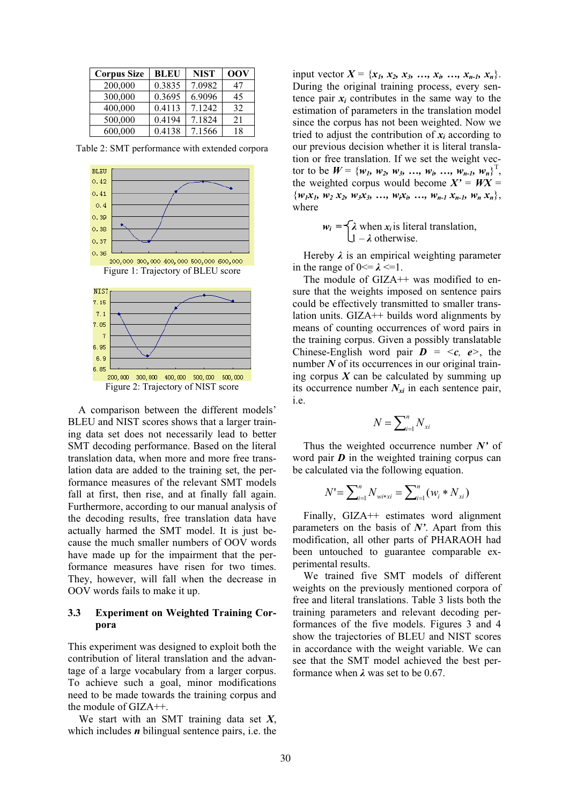| <b>Corpus Size</b> | <b>BLEU</b> | <b>NIST</b> | <b>OOV</b> |
|--------------------|-------------|-------------|------------|
| 200,000            | 0.3835      | 7.0982      | 47         |
| 300,000            | 0.3695      | 6.9096      | 45         |
| 400,000            | 0.4113      | 7.1242      | 32         |
| 500,000            | 0.4194      | 7.1824      | 21         |
| 600,000            | 0.4138      | 7.1566      | 18         |

Table 2: SMT performance with extended corpora



A comparison between the different models' BLEU and NIST scores shows that a larger training data set does not necessarily lead to better SMT decoding performance. Based on the literal translation data, when more and more free translation data are added to the training set, the performance measures of the relevant SMT models fall at first, then rise, and at finally fall again. Furthermore, according to our manual analysis of the decoding results, free translation data have actually harmed the SMT model. It is just because the much smaller numbers of OOV words have made up for the impairment that the performance measures have risen for two times. They, however, will fall when the decrease in OOV words fails to make it up.

### 3.3 Experiment on Weighted Training Corpora

This experiment was designed to exploit both the contribution of literal translation and the advantage of a large vocabulary from a larger corpus. To achieve such a goal, minor modifications need to be made towards the training corpus and the module of GIZA++.

We start with an SMT training data set  $X$ , which includes  *bilingual sentence pairs, i.e. the* 

input vector  $X = \{x_1, x_2, x_3, ..., x_i, ..., x_{n-l}, x_n\}.$ During the original training process, every sentence pair  $x_i$  contributes in the same way to the estimation of parameters in the translation model since the corpus has not been weighted. Now we tried to adjust the contribution of  $x_i$  according to our previous decision whether it is literal translation or free translation. If we set the weight vector to be  $W = \{w_1, w_2, w_3, ..., w_i, ..., w_{n-l}, w_n\}^\top$ , the weighted corpus would become  $X' = W X =$  $\{w_1x_1, w_2 x_2, w_3x_3, ..., w_ix_i, ..., w_{n-l} x_{n-l}, w_n x_n\},\$ where

$$
w_i = \begin{cases} \lambda & \text{when } x_i \text{ is literal translation,} \\ 1 - \lambda & \text{otherwise.} \end{cases}
$$

Hereby  $\lambda$  is an empirical weighting parameter in the range of  $0 \le \lambda \le 1$ .

The module of GIZA<sup>++</sup> was modified to ensure that the weights imposed on sentence pairs could be effectively transmitted to smaller translation units. GIZA++ builds word alignments by means of counting occurrences of word pairs in the training corpus. Given a possibly translatable Chinese-English word pair  $\mathbf{D} = \langle c, e \rangle$ , the number  $N$  of its occurrences in our original training corpus  $X$  can be calculated by summing up its occurrence number  $N_{xi}$  in each sentence pair, i.e.

$$
N = \sum_{i=1}^{n} N_{xi}
$$

Thus the weighted occurrence number  $N'$  of word pair  $\bm{D}$  in the weighted training corpus can be calculated via the following equation.

$$
N' = \sum_{i=1}^{n} N_{w^{i*}xi} = \sum_{i=1}^{n} (w_i * N_{xi})
$$

Finally, GIZA++ estimates word alignment parameters on the basis of  $N'$ . Apart from this modification, all other parts of PHARAOH had been untouched to guarantee comparable experimental results.

We trained five SMT models of different weights on the previously mentioned corpora of free and literal translations. Table 3 lists both the training parameters and relevant decoding performances of the five models. Figures 3 and 4 show the trajectories of BLEU and NIST scores in accordance with the weight variable. We can see that the SMT model achieved the best performance when  $\lambda$  was set to be 0.67.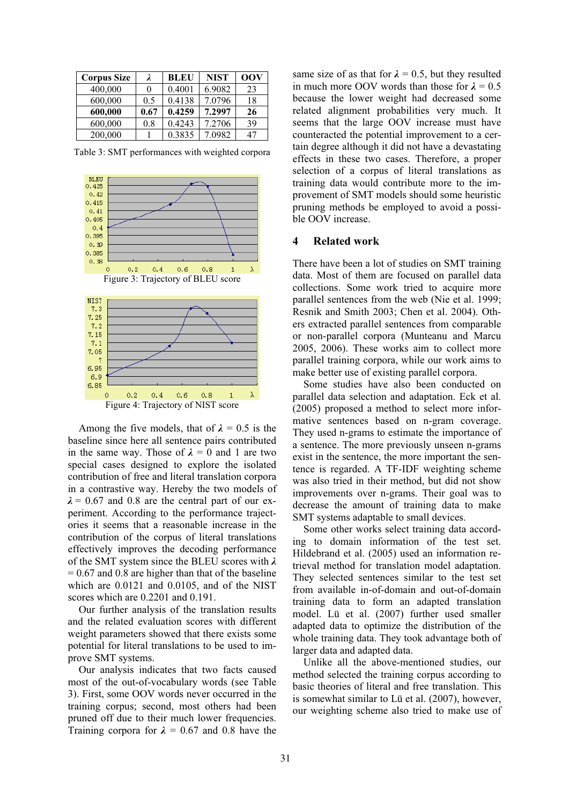| <b>Corpus Size</b> | λ    | <b>BLEU</b> | <b>NIST</b> | <b>OOV</b> |
|--------------------|------|-------------|-------------|------------|
| 400,000            | 0    | 0.4001      | 6.9082      | 23         |
| 600,000            | 0.5  | 0.4138      | 7.0796      | 18         |
| 600,000            | 0.67 | 0.4259      | 7.2997      | 26         |
| 600,000            | 0.8  | 0.4243      | 7.2706      | 39         |
| 200,000            |      | 0.3835      | 7.0982      | 47         |

**BLEU**  $0.425$  $0.42$  $0.415$  $0.41$  $0.405$  $0.4$  $0.395$  $0.39$ 0.385  $0.35$  $\circ$  $0.2$ λ  $0.4$  $0.6$  $0.8$  $\mathbf{1}$ Figure 3: Trajectory of BLEU score **NIST**  $7.3$ 7.25  $7.2$ 7.15  $7.1$ 7.05 7 6.95 6.9 6.85  $\circ$  $0.2$  $0.4$  $0.6$  $0, 8$  $\mathbf{1}$ γ Figure 4: Trajectory of NIST score

Table 3: SMT performances with weighted corpora

Among the five models, that of  $\lambda = 0.5$  is the baseline since here all sentence pairs contributed in the same way. Those of  $\lambda = 0$  and 1 are two special cases designed to explore the isolated contribution of free and literal translation corpora in a contrastive way. Hereby the two models of  $\lambda$  = 0.67 and 0.8 are the central part of our experiment. According to the performance trajectories it seems that a reasonable increase in the contribution of the corpus of literal translations effectively improves the decoding performance of the SMT system since the BLEU scores with  $\lambda$  $= 0.67$  and 0.8 are higher than that of the baseline which are 0.0121 and 0.0105, and of the NIST scores which are 0.2201 and 0.191.

Our further analysis of the translation results and the related evaluation scores with different weight parameters showed that there exists some potential for literal translations to be used to improve SMT systems.

Our analysis indicates that two facts caused most of the out-of-vocabulary words (see Table 3). First, some OOV words never occurred in the training corpus; second, most others had been pruned off due to their much lower frequencies. Training corpora for  $\lambda = 0.67$  and 0.8 have the same size of as that for  $\lambda = 0.5$ , but they resulted in much more OOV words than those for  $\lambda = 0.5$ because the lower weight had decreased some related alignment probabilities very much. It seems that the large OOV increase must have counteracted the potential improvement to a certain degree although it did not have a devastating effects in these two cases. Therefore, a proper selection of a corpus of literal translations as training data would contribute more to the improvement of SMT models should some heuristic pruning methods be employed to avoid a possible OOV increase.

#### 4 Related work

There have been a lot of studies on SMT training data. Most of them are focused on parallel data collections. Some work tried to acquire more parallel sentences from the web (Nie et al. 1999; Resnik and Smith 2003; Chen et al. 2004). Others extracted parallel sentences from comparable or non-parallel corpora (Munteanu and Marcu 2005, 2006). These works aim to collect more parallel training corpora, while our work aims to make better use of existing parallel corpora.

Some studies have also been conducted on parallel data selection and adaptation. Eck et al. (2005) proposed a method to select more informative sentences based on n-gram coverage. They used n-grams to estimate the importance of a sentence. The more previously unseen n-grams exist in the sentence, the more important the sentence is regarded. A TF-IDF weighting scheme was also tried in their method, but did not show improvements over n-grams. Their goal was to decrease the amount of training data to make SMT systems adaptable to small devices.

Some other works select training data according to domain information of the test set. Hildebrand et al. (2005) used an information retrieval method for translation model adaptation. They selected sentences similar to the test set from available in-of-domain and out-of-domain training data to form an adapted translation model. Lü et al. (2007) further used smaller adapted data to optimize the distribution of the whole training data. They took advantage both of larger data and adapted data.

Unlike all the above-mentioned studies, our method selected the training corpus according to basic theories of literal and free translation. This is somewhat similar to Lü et al. (2007), however, our weighting scheme also tried to make use of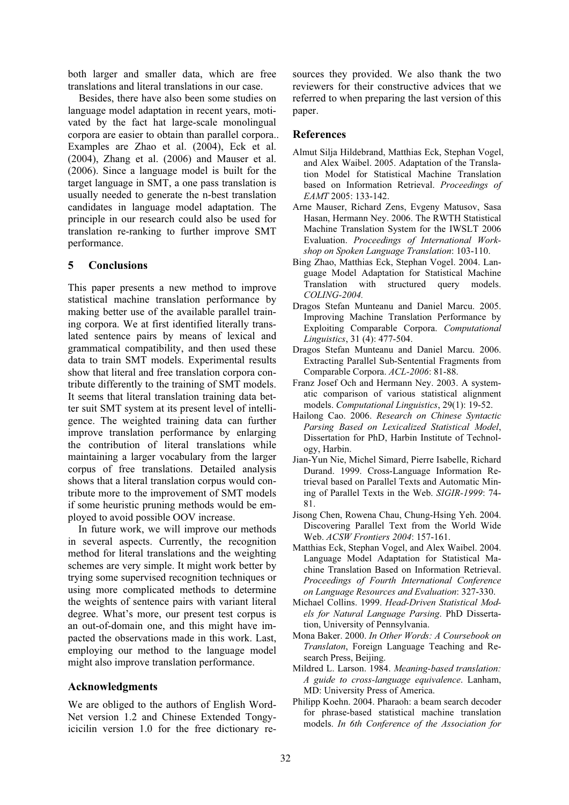both larger and smaller data, which are free translations and literal translations in our case.

Besides, there have also been some studies on language model adaptation in recent years, motivated by the fact hat large-scale monolingual corpora are easier to obtain than parallel corpora.. Examples are Zhao et al. (2004), Eck et al. (2004), Zhang et al. (2006) and Mauser et al. (2006). Since a language model is built for the target language in SMT, a one pass translation is usually needed to generate the n-best translation candidates in language model adaptation. The principle in our research could also be used for translation re-ranking to further improve SMT performance.

### 5 Conclusions

This paper presents a new method to improve statistical machine translation performance by making better use of the available parallel training corpora. We at first identified literally translated sentence pairs by means of lexical and grammatical compatibility, and then used these data to train SMT models. Experimental results show that literal and free translation corpora contribute differently to the training of SMT models. It seems that literal translation training data better suit SMT system at its present level of intelligence. The weighted training data can further improve translation performance by enlarging the contribution of literal translations while maintaining a larger vocabulary from the larger corpus of free translations. Detailed analysis shows that a literal translation corpus would contribute more to the improvement of SMT models if some heuristic pruning methods would be employed to avoid possible OOV increase.

In future work, we will improve our methods in several aspects. Currently, the recognition method for literal translations and the weighting schemes are very simple. It might work better by trying some supervised recognition techniques or using more complicated methods to determine the weights of sentence pairs with variant literal degree. What's more, our present test corpus is an out-of-domain one, and this might have impacted the observations made in this work. Last, employing our method to the language model might also improve translation performance.

### Acknowledgments

We are obliged to the authors of English Word-Net version 1.2 and Chinese Extended Tongyicicilin version 1.0 for the free dictionary resources they provided. We also thank the two reviewers for their constructive advices that we referred to when preparing the last version of this paper.

### **References**

- Almut Silja Hildebrand, Matthias Eck, Stephan Vogel, and Alex Waibel. 2005. Adaptation of the Translation Model for Statistical Machine Translation based on Information Retrieval. Proceedings of EAMT 2005: 133-142.
- Arne Mauser, Richard Zens, Evgeny Matusov, Sasa Hasan, Hermann Ney. 2006. The RWTH Statistical Machine Translation System for the IWSLT 2006 Evaluation. Proceedings of International Workshop on Spoken Language Translation: 103-110.
- Bing Zhao, Matthias Eck, Stephan Vogel. 2004. Language Model Adaptation for Statistical Machine Translation with structured query models. COLING-2004.
- Dragos Stefan Munteanu and Daniel Marcu. 2005. Improving Machine Translation Performance by Exploiting Comparable Corpora. Computational Linguistics, 31 (4): 477-504.
- Dragos Stefan Munteanu and Daniel Marcu. 2006. Extracting Parallel Sub-Sentential Fragments from Comparable Corpora. ACL-2006: 81-88.
- Franz Josef Och and Hermann Ney. 2003. A systematic comparison of various statistical alignment models. Computational Linguistics, 29(1): 19-52.
- Hailong Cao. 2006. Research on Chinese Syntactic Parsing Based on Lexicalized Statistical Model, Dissertation for PhD, Harbin Institute of Technology, Harbin.
- Jian-Yun Nie, Michel Simard, Pierre Isabelle, Richard Durand. 1999. Cross-Language Information Retrieval based on Parallel Texts and Automatic Mining of Parallel Texts in the Web. SIGIR-1999: 74- 81.
- Jisong Chen, Rowena Chau, Chung-Hsing Yeh. 2004. Discovering Parallel Text from the World Wide Web. ACSW Frontiers 2004: 157-161.
- Matthias Eck, Stephan Vogel, and Alex Waibel. 2004. Language Model Adaptation for Statistical Machine Translation Based on Information Retrieval. Proceedings of Fourth International Conference on Language Resources and Evaluation: 327-330.
- Michael Collins. 1999. Head-Driven Statistical Models for Natural Language Parsing. PhD Dissertation, University of Pennsylvania.
- Mona Baker. 2000. In Other Words: A Coursebook on Translaton, Foreign Language Teaching and Research Press, Beijing.
- Mildred L. Larson. 1984. Meaning-based translation: A guide to cross-language equivalence. Lanham, MD: University Press of America.
- Philipp Koehn. 2004. Pharaoh: a beam search decoder for phrase-based statistical machine translation models. In 6th Conference of the Association for